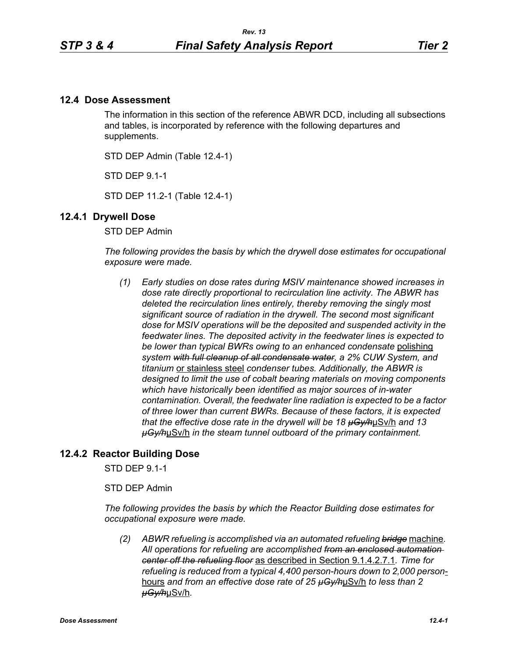## **12.4 Dose Assessment**

The information in this section of the reference ABWR DCD, including all subsections and tables, is incorporated by reference with the following departures and supplements.

STD DEP Admin (Table 12.4-1)

STD DEP 9.1-1

STD DEP 11.2-1 (Table 12.4-1)

### **12.4.1 Drywell Dose**

STD DEP Admin

*The following provides the basis by which the drywell dose estimates for occupational exposure were made.*

*(1) Early studies on dose rates during MSIV maintenance showed increases in dose rate directly proportional to recirculation line activity. The ABWR has deleted the recirculation lines entirely, thereby removing the singly most significant source of radiation in the drywell. The second most significant dose for MSIV operations will be the deposited and suspended activity in the feedwater lines. The deposited activity in the feedwater lines is expected to be lower than typical BWRs owing to an enhanced condensate* polishing *system with full cleanup of all condensate water, a 2% CUW System, and titanium* or stainless steel *condenser tubes. Additionally, the ABWR is designed to limit the use of cobalt bearing materials on moving components which have historically been identified as major sources of in-water contamination. Overall, the feedwater line radiation is expected to be a factor of three lower than current BWRs. Because of these factors, it is expected that the effective dose rate in the drywell will be 18 µGy/h*µSv/h *and 13 µGy/h*µSv/h *in the steam tunnel outboard of the primary containment.* 

## **12.4.2 Reactor Building Dose**

STD DEP 9.1-1

STD DEP Admin

*The following provides the basis by which the Reactor Building dose estimates for occupational exposure were made.*

*(2) ABWR refueling is accomplished via an automated refueling bridge* machine*. All operations for refueling are accomplished from an enclosed automation center off the refueling floor* as described in Section 9.1.4.2.7.1*. Time for refueling is reduced from a typical 4,400 person-hours down to 2,000 person*hours *and from an effective dose rate of 25 µGy/h*µSv/h *to less than 2 µGy/h*µSv/h*.*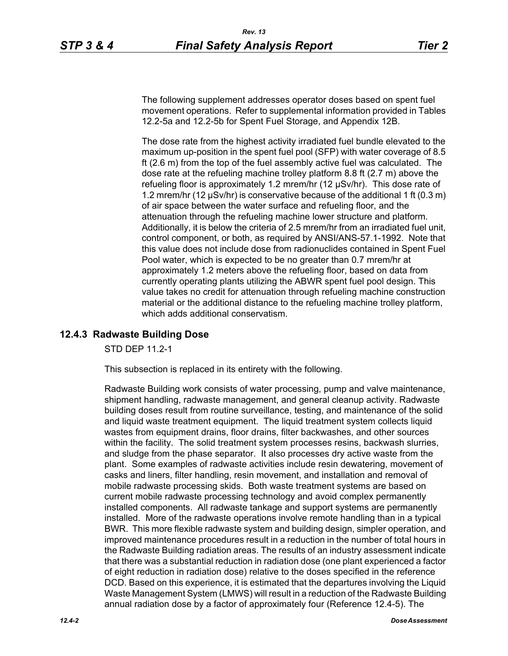The following supplement addresses operator doses based on spent fuel movement operations. Refer to supplemental information provided in Tables 12.2-5a and 12.2-5b for Spent Fuel Storage, and Appendix 12B.

The dose rate from the highest activity irradiated fuel bundle elevated to the maximum up-position in the spent fuel pool (SFP) with water coverage of 8.5 ft (2.6 m) from the top of the fuel assembly active fuel was calculated. The dose rate at the refueling machine trolley platform 8.8 ft (2.7 m) above the refueling floor is approximately 1.2 mrem/hr (12 µSv/hr). This dose rate of 1.2 mrem/hr (12 µSv/hr) is conservative because of the additional 1 ft (0.3 m) of air space between the water surface and refueling floor, and the attenuation through the refueling machine lower structure and platform. Additionally, it is below the criteria of 2.5 mrem/hr from an irradiated fuel unit, control component, or both, as required by ANSI/ANS-57.1-1992. Note that this value does not include dose from radionuclides contained in Spent Fuel Pool water, which is expected to be no greater than 0.7 mrem/hr at approximately 1.2 meters above the refueling floor, based on data from currently operating plants utilizing the ABWR spent fuel pool design. This value takes no credit for attenuation through refueling machine construction material or the additional distance to the refueling machine trolley platform, which adds additional conservatism.

# **12.4.3 Radwaste Building Dose**

STD DEP 11.2-1

This subsection is replaced in its entirety with the following.

Radwaste Building work consists of water processing, pump and valve maintenance, shipment handling, radwaste management, and general cleanup activity. Radwaste building doses result from routine surveillance, testing, and maintenance of the solid and liquid waste treatment equipment. The liquid treatment system collects liquid wastes from equipment drains, floor drains, filter backwashes, and other sources within the facility. The solid treatment system processes resins, backwash slurries, and sludge from the phase separator. It also processes dry active waste from the plant. Some examples of radwaste activities include resin dewatering, movement of casks and liners, filter handling, resin movement, and installation and removal of mobile radwaste processing skids. Both waste treatment systems are based on current mobile radwaste processing technology and avoid complex permanently installed components. All radwaste tankage and support systems are permanently installed. More of the radwaste operations involve remote handling than in a typical BWR. This more flexible radwaste system and building design, simpler operation, and improved maintenance procedures result in a reduction in the number of total hours in the Radwaste Building radiation areas. The results of an industry assessment indicate that there was a substantial reduction in radiation dose (one plant experienced a factor of eight reduction in radiation dose) relative to the doses specified in the reference DCD. Based on this experience, it is estimated that the departures involving the Liquid Waste Management System (LMWS) will result in a reduction of the Radwaste Building annual radiation dose by a factor of approximately four (Reference 12.4-5). The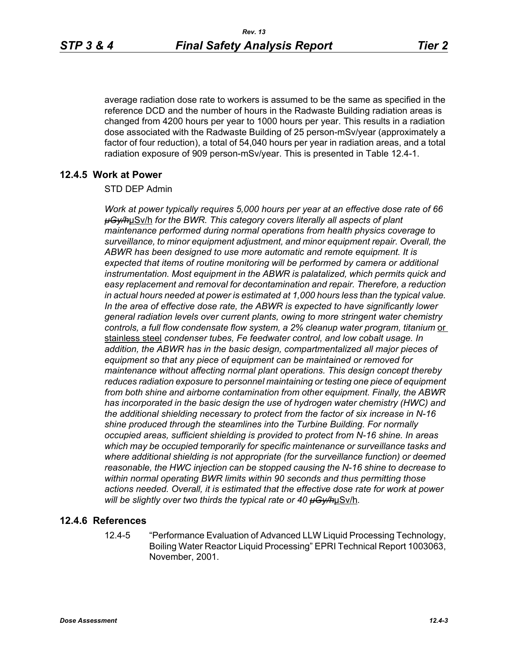average radiation dose rate to workers is assumed to be the same as specified in the reference DCD and the number of hours in the Radwaste Building radiation areas is changed from 4200 hours per year to 1000 hours per year. This results in a radiation dose associated with the Radwaste Building of 25 person-mSv/year (approximately a factor of four reduction), a total of 54,040 hours per year in radiation areas, and a total radiation exposure of 909 person-mSv/year. This is presented in Table 12.4-1.

## **12.4.5 Work at Power**

### STD DEP Admin

*Work at power typically requires 5,000 hours per year at an effective dose rate of 66 µGy/h*µSv/h *for the BWR. This category covers literally all aspects of plant maintenance performed during normal operations from health physics coverage to surveillance, to minor equipment adjustment, and minor equipment repair. Overall, the ABWR has been designed to use more automatic and remote equipment. It is expected that items of routine monitoring will be performed by camera or additional instrumentation. Most equipment in the ABWR is palatalized, which permits quick and easy replacement and removal for decontamination and repair. Therefore, a reduction in actual hours needed at power is estimated at 1,000 hours less than the typical value. In the area of effective dose rate, the ABWR is expected to have significantly lower general radiation levels over current plants, owing to more stringent water chemistry*  controls, a full flow condensate flow system, a 2% cleanup water program, titanium or stainless steel *condenser tubes, Fe feedwater control, and low cobalt usage. In addition, the ABWR has in the basic design, compartmentalized all major pieces of equipment so that any piece of equipment can be maintained or removed for maintenance without affecting normal plant operations. This design concept thereby reduces radiation exposure to personnel maintaining or testing one piece of equipment from both shine and airborne contamination from other equipment. Finally, the ABWR has incorporated in the basic design the use of hydrogen water chemistry (HWC) and the additional shielding necessary to protect from the factor of six increase in N-16 shine produced through the steamlines into the Turbine Building. For normally occupied areas, sufficient shielding is provided to protect from N-16 shine. In areas which may be occupied temporarily for specific maintenance or surveillance tasks and where additional shielding is not appropriate (for the surveillance function) or deemed reasonable, the HWC injection can be stopped causing the N-16 shine to decrease to within normal operating BWR limits within 90 seconds and thus permitting those actions needed. Overall, it is estimated that the effective dose rate for work at power will be slightly over two thirds the typical rate or 40 µGy/h*µSv/h*.*

### **12.4.6 References**

12.4-5 "Performance Evaluation of Advanced LLW Liquid Processing Technology, Boiling Water Reactor Liquid Processing" EPRI Technical Report 1003063, November, 2001.